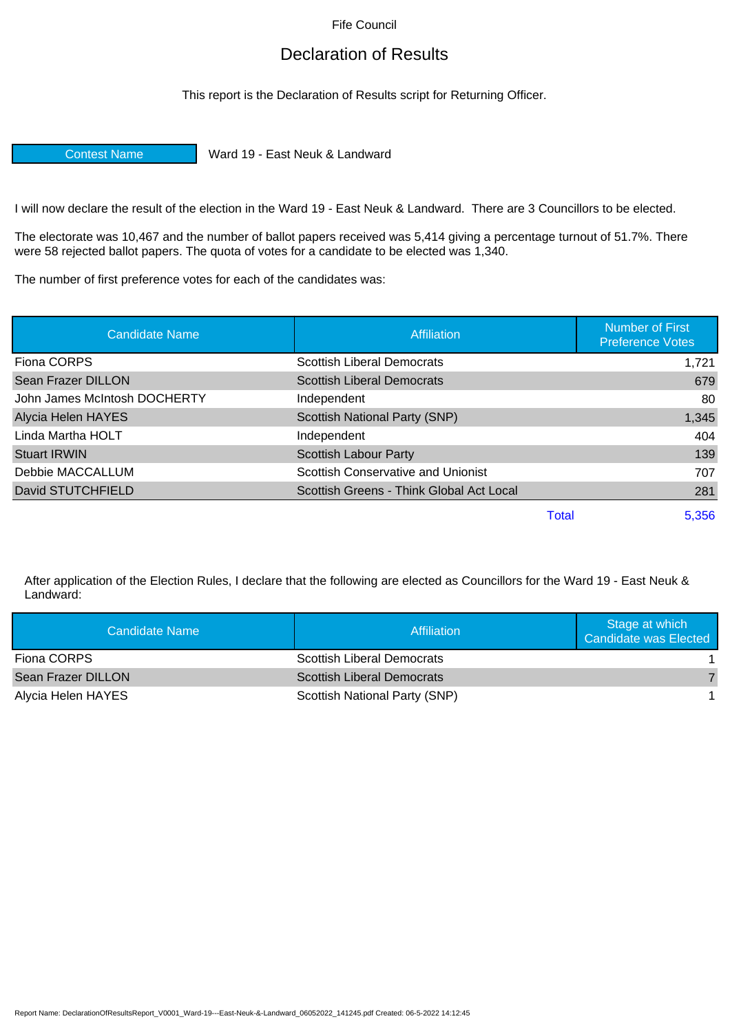Fife Council

## Declaration of Results

This report is the Declaration of Results script for Returning Officer.

Contest Name Ward 19 - East Neuk & Landward

I will now declare the result of the election in the Ward 19 - East Neuk & Landward. There are 3 Councillors to be elected.

The electorate was 10,467 and the number of ballot papers received was 5,414 giving a percentage turnout of 51.7%. There were 58 rejected ballot papers. The quota of votes for a candidate to be elected was 1,340.

The number of first preference votes for each of the candidates was:

| <b>Candidate Name</b>        | Affiliation                               |       | <b>Number of First</b><br><b>Preference Votes</b> |
|------------------------------|-------------------------------------------|-------|---------------------------------------------------|
| Fiona CORPS                  | <b>Scottish Liberal Democrats</b>         |       | 1,721                                             |
| Sean Frazer DILLON           | <b>Scottish Liberal Democrats</b>         |       | 679                                               |
| John James McIntosh DOCHERTY | Independent                               |       | 80                                                |
| Alycia Helen HAYES           | Scottish National Party (SNP)             |       | 1,345                                             |
| Linda Martha HOLT            | Independent                               |       | 404                                               |
| <b>Stuart IRWIN</b>          | <b>Scottish Labour Party</b>              |       | 139                                               |
| Debbie MACCALLUM             | <b>Scottish Conservative and Unionist</b> |       | 707                                               |
| David STUTCHFIELD            | Scottish Greens - Think Global Act Local  |       | 281                                               |
|                              |                                           | Total | 5.356                                             |

After application of the Election Rules, I declare that the following are elected as Councillors for the Ward 19 - East Neuk & Landward:

| Candidate Name     | Affiliation                       | Stage at which<br>Candidate was Elected |
|--------------------|-----------------------------------|-----------------------------------------|
| Fiona CORPS        | <b>Scottish Liberal Democrats</b> |                                         |
| Sean Frazer DILLON | <b>Scottish Liberal Democrats</b> |                                         |
| Alycia Helen HAYES | Scottish National Party (SNP)     |                                         |